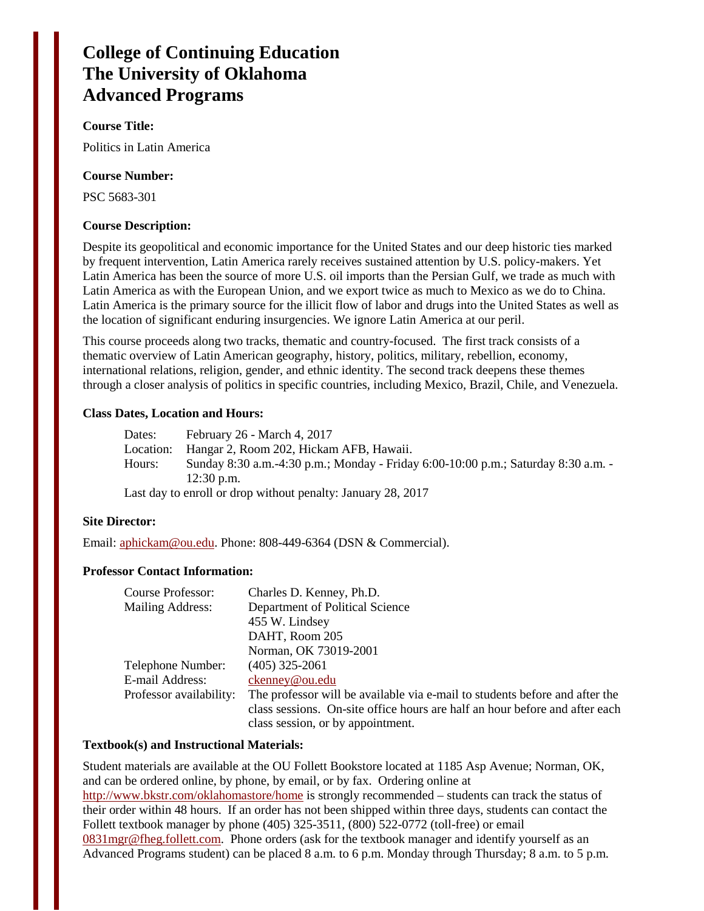# **College of Continuing Education The University of Oklahoma Advanced Programs**

#### **Course Title:**

Politics in Latin America

#### **Course Number:**

PSC 5683-301

#### **Course Description:**

Despite its geopolitical and economic importance for the United States and our deep historic ties marked by frequent intervention, Latin America rarely receives sustained attention by U.S. policy-makers. Yet Latin America has been the source of more U.S. oil imports than the Persian Gulf, we trade as much with Latin America as with the European Union, and we export twice as much to Mexico as we do to China. Latin America is the primary source for the illicit flow of labor and drugs into the United States as well as the location of significant enduring insurgencies. We ignore Latin America at our peril.

This course proceeds along two tracks, thematic and country-focused. The first track consists of a thematic overview of Latin American geography, history, politics, military, rebellion, economy, international relations, religion, gender, and ethnic identity. The second track deepens these themes through a closer analysis of politics in specific countries, including Mexico, Brazil, Chile, and Venezuela.

#### **Class Dates, Location and Hours:**

Dates: February 26 - March 4, 2017 Location: Hangar 2, Room 202, Hickam AFB, Hawaii. Hours: Sunday 8:30 a.m.-4:30 p.m.; Monday - Friday 6:00-10:00 p.m.; Saturday 8:30 a.m. - 12:30 p.m.

Last day to enroll or drop without penalty: January 28, 2017

#### **Site Director:**

Email: [aphickam@ou.edu.](mailto:aphickam@ou.edu) Phone: 808-449-6364 (DSN & Commercial).

#### **Professor Contact Information:**

| Course Professor:       | Charles D. Kenney, Ph.D.                                                    |  |  |
|-------------------------|-----------------------------------------------------------------------------|--|--|
| Mailing Address:        | Department of Political Science                                             |  |  |
|                         | 455 W. Lindsey                                                              |  |  |
|                         | DAHT, Room 205                                                              |  |  |
|                         | Norman, OK 73019-2001                                                       |  |  |
| Telephone Number:       | $(405)$ 325-2061                                                            |  |  |
| E-mail Address:         | ckenney@ou.edu                                                              |  |  |
| Professor availability: | The professor will be available via e-mail to students before and after the |  |  |
|                         | class sessions. On-site office hours are half an hour before and after each |  |  |
|                         | class session, or by appointment.                                           |  |  |

#### **Textbook(s) and Instructional Materials:**

Student materials are available at the OU Follett Bookstore located at 1185 Asp Avenue; Norman, OK, and can be ordered online, by phone, by email, or by fax. Ordering online at <http://www.bkstr.com/oklahomastore/home>is strongly recommended – students can track the status of their order within 48 hours. If an order has not been shipped within three days, students can contact the Follett textbook manager by phone (405) 325-3511, (800) 522-0772 (toll-free) or email [0831mgr@fheg.follett.com.](mailto:0831mgr@fheg.follett.com) Phone orders (ask for the textbook manager and identify yourself as an Advanced Programs student) can be placed 8 a.m. to 6 p.m. Monday through Thursday; 8 a.m. to 5 p.m.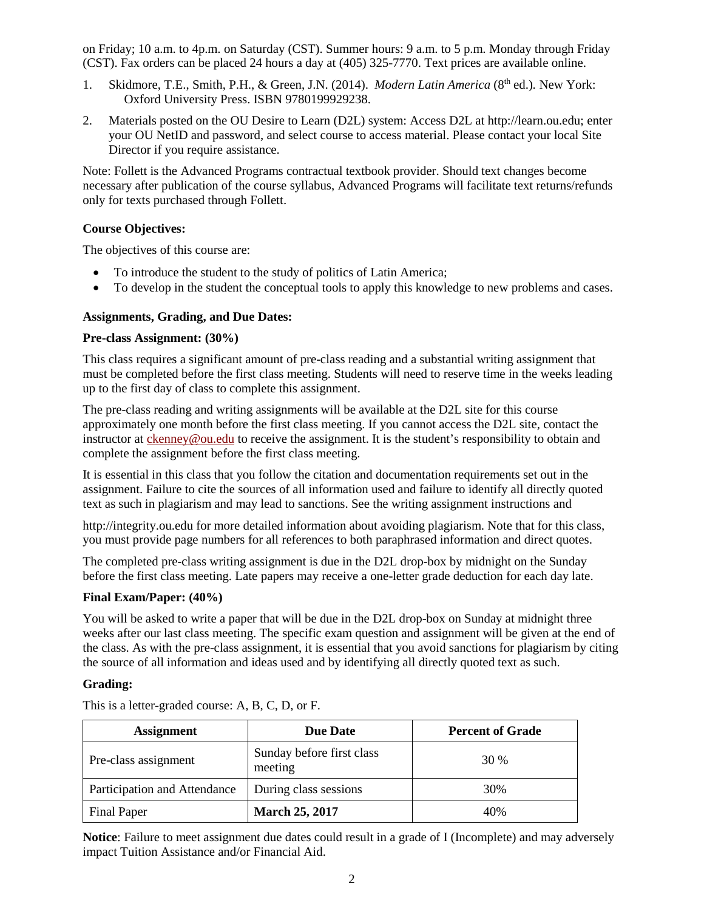on Friday; 10 a.m. to 4p.m. on Saturday (CST). Summer hours: 9 a.m. to 5 p.m. Monday through Friday (CST). Fax orders can be placed 24 hours a day at (405) 325-7770. Text prices are available online.

- 1. Skidmore, T.E., Smith, P.H., & Green, J.N. (2014). *Modern Latin America* (8<sup>th</sup> ed.). New York: Oxford University Press. ISBN 9780199929238.
- 2. Materials posted on the OU Desire to Learn (D2L) system: Access D2L at http://learn.ou.edu; enter your OU NetID and password, and select course to access material. Please contact your local Site Director if you require assistance.

Note: Follett is the Advanced Programs contractual textbook provider. Should text changes become necessary after publication of the course syllabus, Advanced Programs will facilitate text returns/refunds only for texts purchased through Follett.

# **Course Objectives:**

The objectives of this course are:

- To introduce the student to the study of politics of Latin America;
- To develop in the student the conceptual tools to apply this knowledge to new problems and cases.

# **Assignments, Grading, and Due Dates:**

#### **Pre-class Assignment: (30%)**

This class requires a significant amount of pre-class reading and a substantial writing assignment that must be completed before the first class meeting. Students will need to reserve time in the weeks leading up to the first day of class to complete this assignment.

The pre-class reading and writing assignments will be available at the D2L site for this course approximately one month before the first class meeting. If you cannot access the D2L site, contact the instructor at [ckenney@ou.edu](mailto:ckenney@ou.edu) to receive the assignment. It is the student's responsibility to obtain and complete the assignment before the first class meeting.

It is essential in this class that you follow the citation and documentation requirements set out in the assignment. Failure to cite the sources of all information used and failure to identify all directly quoted text as such in plagiarism and may lead to sanctions. See the writing assignment instructions and

http://integrity.ou.edu for more detailed information about avoiding plagiarism. Note that for this class, you must provide page numbers for all references to both paraphrased information and direct quotes.

The completed pre-class writing assignment is due in the D2L drop-box by midnight on the Sunday before the first class meeting. Late papers may receive a one-letter grade deduction for each day late.

#### **Final Exam/Paper: (40%)**

You will be asked to write a paper that will be due in the D2L drop-box on Sunday at midnight three weeks after our last class meeting. The specific exam question and assignment will be given at the end of the class. As with the pre-class assignment, it is essential that you avoid sanctions for plagiarism by citing the source of all information and ideas used and by identifying all directly quoted text as such.

#### **Grading:**

| <b>Assignment</b>            | <b>Due Date</b>                      | <b>Percent of Grade</b> |
|------------------------------|--------------------------------------|-------------------------|
| Pre-class assignment         | Sunday before first class<br>meeting | 30 %                    |
| Participation and Attendance | During class sessions                | 30%                     |
| Final Paper                  | <b>March 25, 2017</b>                | 40%                     |

This is a letter-graded course: A, B, C, D, or F.

**Notice**: Failure to meet assignment due dates could result in a grade of I (Incomplete) and may adversely impact Tuition Assistance and/or Financial Aid.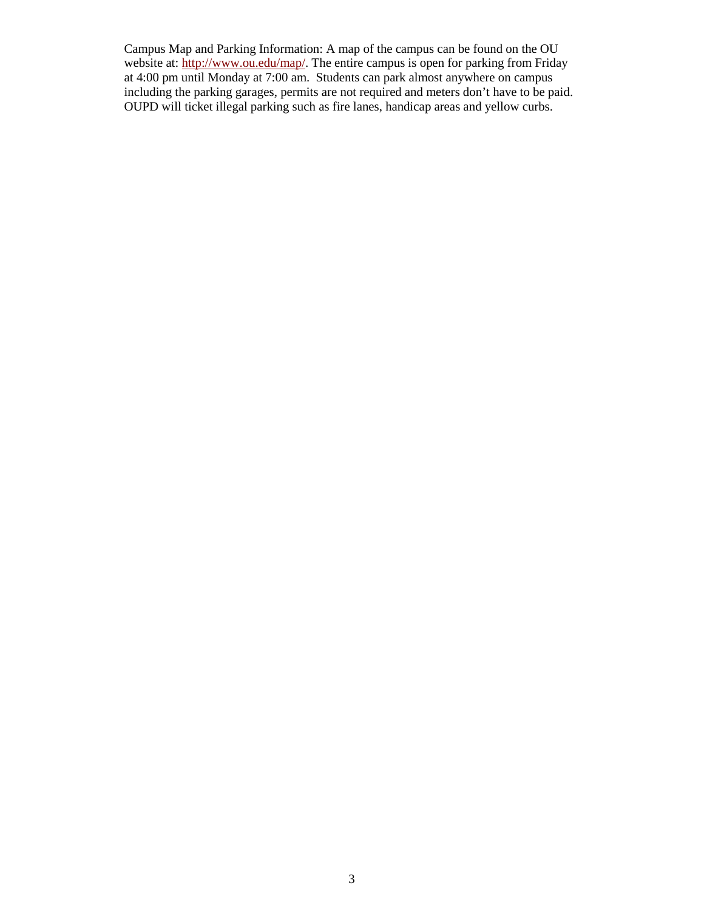Campus Map and Parking Information: A map of the campus can be found on the OU website at: [http://www.ou.edu/map/.](http://www.ou.edu/map/) The entire campus is open for parking from Friday at 4:00 pm until Monday at 7:00 am. Students can park almost anywhere on campus including the parking garages, permits are not required and meters don't have to be paid. OUPD will ticket illegal parking such as fire lanes, handicap areas and yellow curbs.